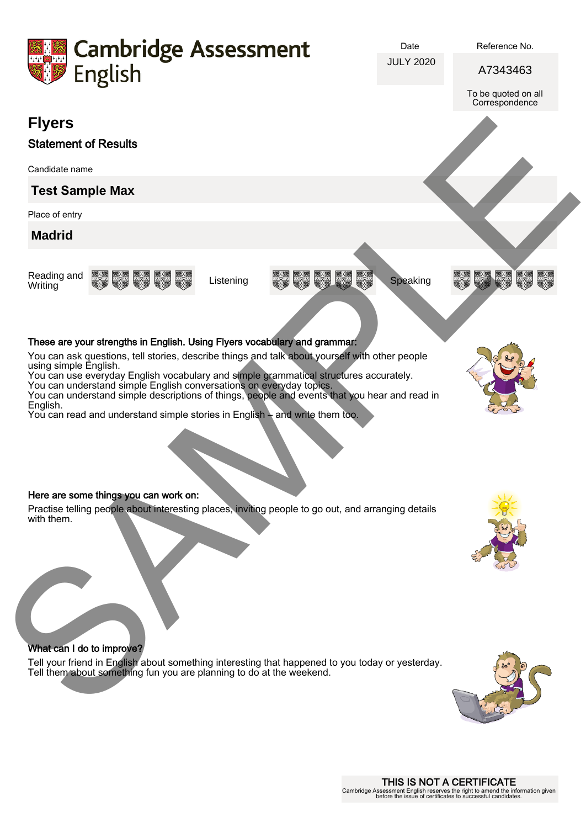

Date JULY 2020 Reference No.

A7343463

To be quoted on all **Correspondence** 

## **Flyers**

### Statement of Results

Candidate name

### **Test Sample Max**

Place of entry

### **Madrid**



Reading and<br>Writing







### These are your strengths in English. Using Flyers vocabulary and grammar:

You can ask questions, tell stories, describe things and talk about yourself with other people using simple English.

You can use everyday English vocabulary and simple grammatical structures accurately.

You can understand simple English conversations on everyday topics.

You can understand simple descriptions of things, people and events that you hear and read in English.

You can read and understand simple stories in English – and write them too.

### Here are some things you can work on:

Practise telling people about interesting places, inviting people to go out, and arranging details with them. Flyers<br>
Statement of Results<br>
Test Sample Max<br>
Your comparison of Results<br>
Madrid<br>
Maximum and 2012/03/03/03 Listons<br>
These asy operations to be defined that the contribution of the results<br>
We can see your distinguishes i



### What can I do to improve?

Tell your friend in English about something interesting that happened to you today or yesterday. Tell them about something fun you are planning to do at the weekend.